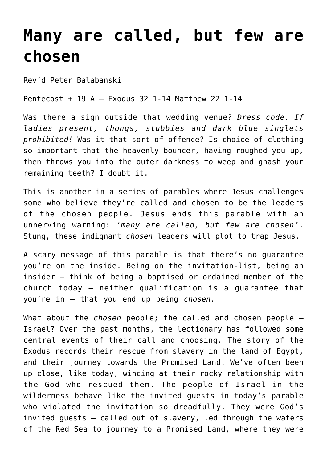## **[Many are called, but few are](https://stjohnsadelaide.org.au/many-are-called-but-few-are-chosen/) [chosen](https://stjohnsadelaide.org.au/many-are-called-but-few-are-chosen/)**

Rev'd Peter Balabanski

Pentecost + 19 A – Exodus 32 1-14 Matthew 22 1-14

Was there a sign outside that wedding venue? *Dress code. If ladies present, thongs, stubbies and dark blue singlets prohibited!* Was it that sort of offence? Is choice of clothing so important that the heavenly bouncer, having roughed you up, then throws you into the outer darkness to weep and gnash your remaining teeth? I doubt it.

This is another in a series of parables where Jesus challenges some who believe they're called and chosen to be the leaders of the chosen people. Jesus ends this parable with an unnerving warning: *'many are called, but few are chosen'*. Stung, these indignant *chosen* leaders will plot to trap Jesus.

A scary message of this parable is that there's no guarantee you're on the inside. Being on the invitation-list, being an insider – think of being a baptised or ordained member of the church today – neither qualification is a guarantee that you're in – that you end up being *chosen*.

What about the *chosen* people; the called and chosen people – Israel? Over the past months, the lectionary has followed some central events of their call and choosing. The story of the Exodus records their rescue from slavery in the land of Egypt, and their journey towards the Promised Land. We've often been up close, like today, wincing at their rocky relationship with the God who rescued them. The people of Israel in the wilderness behave like the invited guests in today's parable who violated the invitation so dreadfully. They were God's invited guests – called out of slavery, led through the waters of the Red Sea to journey to a Promised Land, where they were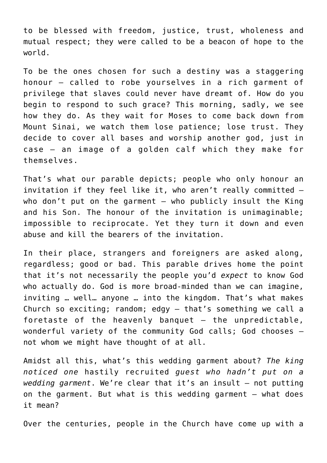to be blessed with freedom, justice, trust, wholeness and mutual respect; they were called to be a beacon of hope to the world.

To be the ones chosen for such a destiny was a staggering honour – called to robe yourselves in a rich garment of privilege that slaves could never have dreamt of. How do you begin to respond to such grace? This morning, sadly, we see how they do. As they wait for Moses to come back down from Mount Sinai, we watch them lose patience; lose trust. They decide to cover all bases and worship another god, just in case – an image of a golden calf which they make for themselves.

That's what our parable depicts; people who only honour an invitation if they feel like it, who aren't really committed – who don't put on the garment – who publicly insult the King and his Son. The honour of the invitation is unimaginable; impossible to reciprocate. Yet they turn it down and even abuse and kill the bearers of the invitation.

In their place, strangers and foreigners are asked along, regardless; good or bad. This parable drives home the point that it's not necessarily the people you'd *expect* to know God who actually do. God is more broad-minded than we can imagine, inviting … well… anyone … into the kingdom. That's what makes Church so exciting; random; edgy – that's something we call a foretaste of the heavenly banquet – the unpredictable, wonderful variety of the community God calls; God chooses – not whom we might have thought of at all.

Amidst all this, what's this wedding garment about? *The king noticed one* hastily recruited *guest who hadn't put on a wedding garment*. We're clear that it's an insult – not putting on the garment. But what is this wedding garment – what does it mean?

Over the centuries, people in the Church have come up with a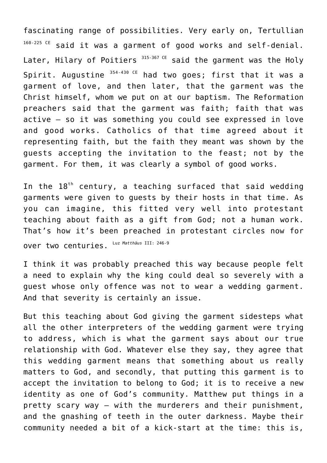fascinating range of possibilities. Very early on, Tertullian  $160-225$  CE said it was a garment of good works and self-denial. Later, Hilary of Poitiers  $315-367$  CE said the garment was the Holy Spirit. Augustine  $354-430$  CE had two goes; first that it was a garment of love, and then later, that the garment was the Christ himself, whom we put on at our baptism. The Reformation preachers said that the garment was faith; faith that was active – so it was something you could see expressed in love and good works. Catholics of that time agreed about it representing faith, but the faith they meant was shown by the guests accepting the invitation to the feast; not by the garment. For them, it was clearly a symbol of good works.

In the  $18<sup>th</sup>$  century, a teaching surfaced that said wedding garments were given to guests by their hosts in that time. As you can imagine, this fitted very well into protestant teaching about faith as a gift from God; not a human work. That's how it's been preached in protestant circles now for over two centuries. Luz *Matthäus* III: 246-9

I think it was probably preached this way because people felt a need to explain why the king could deal so severely with a guest whose only offence was not to wear a wedding garment. And that severity is certainly an issue.

But this teaching about God giving the garment sidesteps what all the other interpreters of the wedding garment were trying to address, which is what the garment says about our true relationship with God. Whatever else they say, they agree that this wedding garment means that something about us really matters to God, and secondly, that putting this garment is to accept the invitation to belong to God; it is to receive a new identity as one of God's community. Matthew put things in a pretty scary way – with the murderers and their punishment, and the gnashing of teeth in the outer darkness. Maybe their community needed a bit of a kick-start at the time: this is,